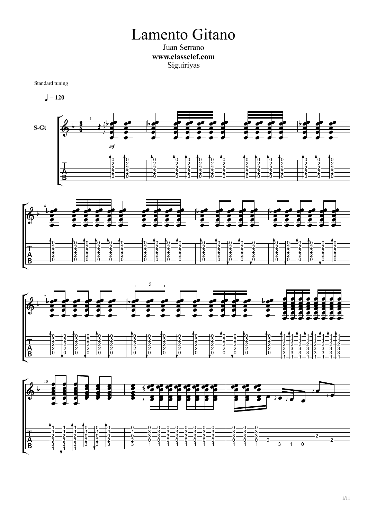## Lamento Gitano

Juan Serrano **www.classclef.com** Siguiriyas

Standard tuning

 $= 120$ 







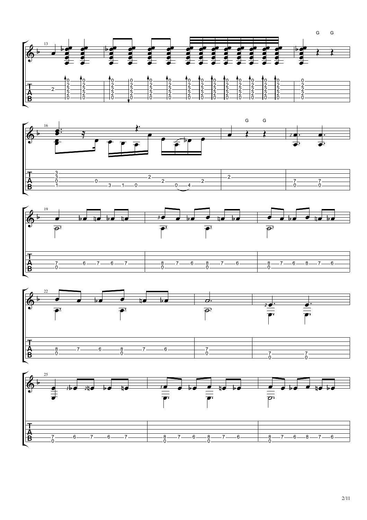







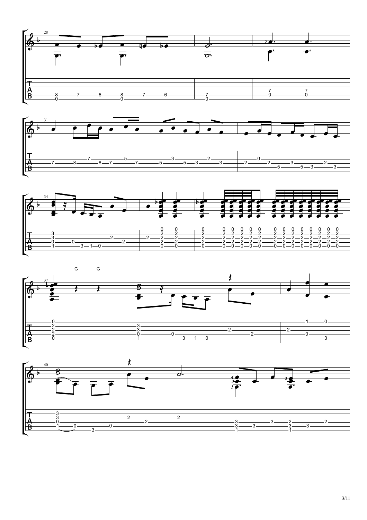







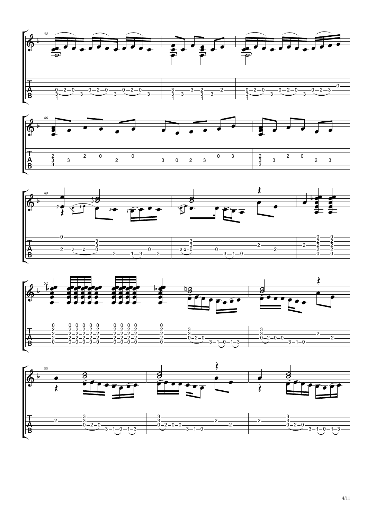







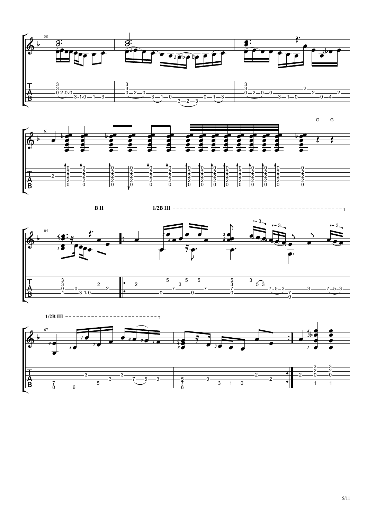





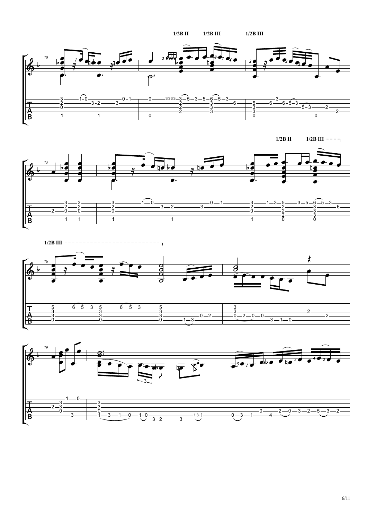



 **1/2B III**  $\frac{5}{3}$   $\frac{6-5-3-5}{3}$   $\frac{6-5-3-5}{3}$   $\overline{0}$   $\overline{\phantom{0}}$  $\frac{5}{3}$   $\frac{6-5-3}{3}$   $\frac{5}{3}$   $\frac{3}{3}$   $\frac{3}{3}$   $\frac{3}{3}$   $\frac{3}{3}$   $\frac{3}{3}$   $\frac{3}{3}$   $\frac{3}{3}$   $\frac{3}{3}$   $\frac{3}{3}$   $\frac{3}{3}$   $\frac{3}{3}$   $\frac{3}{3}$   $\frac{3}{3}$   $\frac{3}{3}$   $\frac{3}{3}$   $\frac{3}{3}$   $\frac{3}{3}$   $\frac{3}{3}$   $\frac{3}{3$   $\overline{0}$   $\overline{\phantom{0}}$  $\frac{3}{2}$   $\frac{3}{2}$   $\frac{3}{2}$   $\frac{3}{2}$   $\frac{3}{2}$   $\frac{3}{2}$   $\frac{3}{2}$   $\frac{3}{2}$   $\frac{3}{2}$   $\frac{3}{2}$   $\frac{3}{2}$   $\frac{3}{2}$   $\frac{3}{2}$   $\frac{3}{2}$   $\frac{3}{2}$   $\frac{3}{2}$   $\frac{3}{2}$   $\frac{3}{2}$   $\frac{3}{2}$   $\frac{3}{2}$   $\frac{3}{2}$   $\frac{3}{2}$   $\frac{3}{0}$  -  $\frac{0}{2}$  -  $\frac{1}{3}$  -  $\frac{0}{2}$  -  $\frac{0}{2}$ 0 $-2$  -2 $0$  $\frac{3}{3}$   $\frac{3}{0-2-0-0}$   $\frac{1}{2}$  $\frac{z}{-3-1-0}$  2 2 —  $\qquad$   $\qquad$   $\qquad$   $\qquad$   $\qquad$   $\qquad$   $\qquad$   $\qquad$   $\qquad$   $\qquad$   $\qquad$   $\qquad$   $\qquad$   $\qquad$   $\qquad$   $\qquad$   $\qquad$   $\qquad$   $\qquad$   $\qquad$   $\qquad$   $\qquad$   $\qquad$   $\qquad$   $\qquad$   $\qquad$   $\qquad$   $\qquad$   $\qquad$   $\qquad$   $\qquad$   $\qquad$   $\qquad$   $\qquad$   $\qquad$   $\qquad$  2 —  $\qquad$   $\qquad$   $\qquad$   $\qquad$   $\qquad$   $\qquad$   $\qquad$   $\qquad$   $\qquad$   $\qquad$   $\qquad$   $\qquad$   $\qquad$   $\qquad$   $\qquad$   $\qquad$   $\qquad$   $\qquad$   $\qquad$   $\qquad$   $\qquad$   $\qquad$   $\qquad$   $\qquad$   $\qquad$   $\qquad$   $\qquad$   $\qquad$   $\qquad$   $\qquad$   $\qquad$   $\qquad$   $\qquad$   $\qquad$   $\qquad$   $\qquad$ 

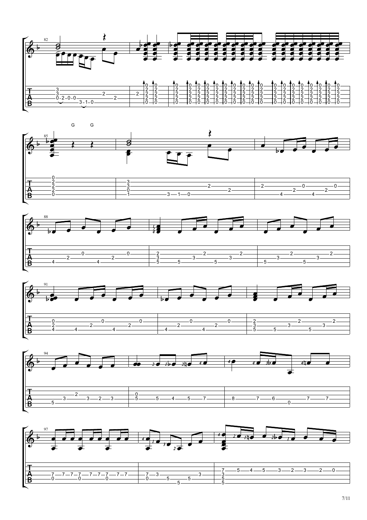









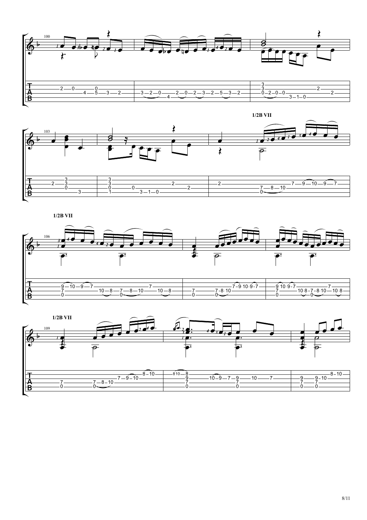



**1/2B VII**



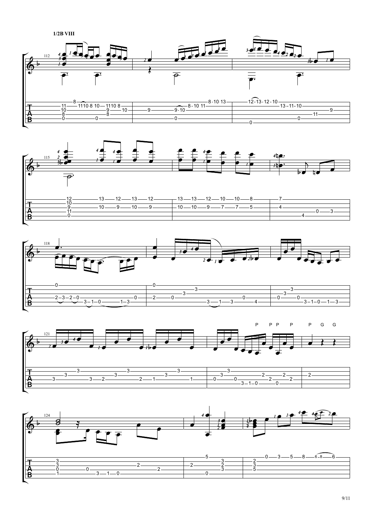







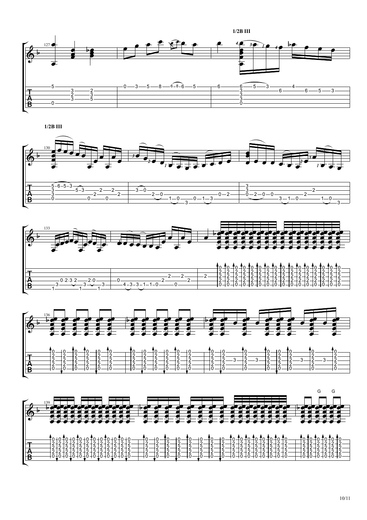

**1/2B III**